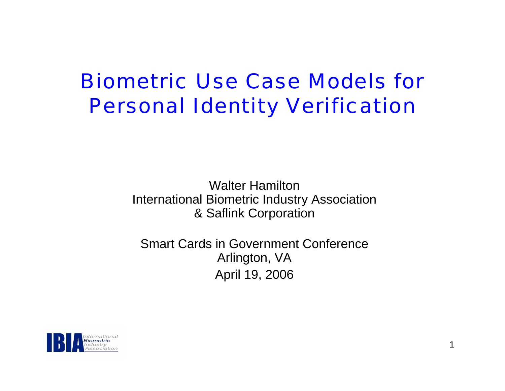#### Biometric Use Case Models for Personal Identity Verification

Walter HamiltonInternational Biometric Industry Association & Saflink Corporation

Smart Cards in Government Conference Arlington, VA April 19, 2006

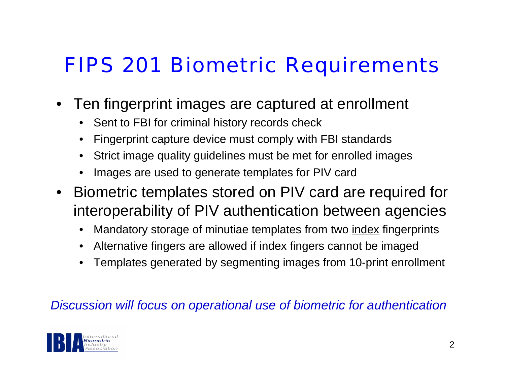#### FIPS 201 Biometric Requirements

- Ten fingerprint images are captured at enrollment
	- •Sent to FBI for criminal history records check
	- •Fingerprint capture device must comply with FBI standards
	- Strict image quality guidelines must be met for enrolled images
	- •Images are used to generate templates for PIV card
- Biometric templates stored on PIV card are required for interoperability of PIV authentication between agencies
	- •Mandatory storage of minutiae templates from two index fingerprints
	- Alternative fingers are allowed if index fingers cannot be imaged
	- •Templates generated by segmenting images from 10-print enrollment

#### *Discussion will focus on operational use of biometric for authentication*

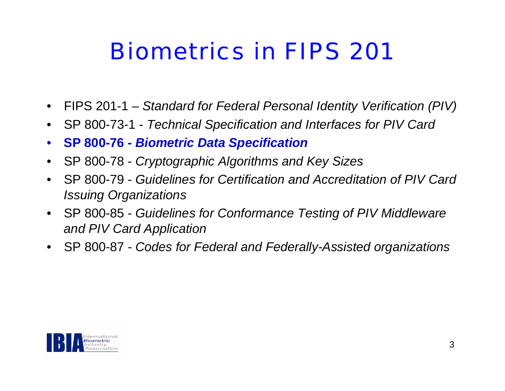## Biometrics in FIPS 201

- •FIPS 201-1 – *Standard for Federal Personal Identity Verification (PIV)*
- •SP 800-73-1 - *Technical Specification and Interfaces for PIV Card*
- $\bullet$ **SP 800-76 -** *Biometric Data Specification*
- •SP 800-78 - *Cryptographic Algorithms and Key Sizes*
- $\bullet$  SP 800-79 - *Guidelines for Certification and Accreditation of PIV Card Issuing Organizations*
- $\bullet$  SP 800-85 - *Guidelines for Conformance Testing of PIV Middleware and PIV Card Application*
- $\bullet$ SP 800-87 - *Codes for Federal and Federally-Assisted organizations*

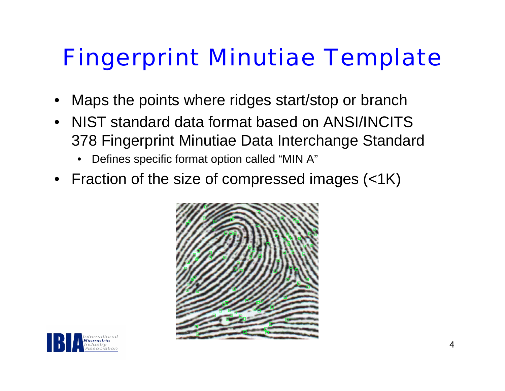# Fingerprint Minutiae Template

- •Maps the points where ridges start/stop or branch
- NIST standard data format based on ANSI/INCITS 378 Fingerprint Minutiae Data Interchange Standard
	- •Defines specific format option called "MIN A"
- Fraction of the size of compressed images (<1K)



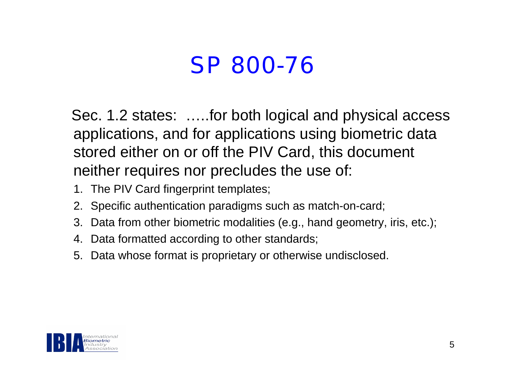### SP 800-76

Sec. 1.2 states: …..for both logical and physical access applications, and for applications using biometric data stored either on or off the PIV Card, this document neither requires nor precludes the use of:

- 1. The PIV Card fingerprint templates;
- 2. Specific authentication paradigms such as match-on-card;
- 3. Data from other biometric modalities (e.g., hand geometry, iris, etc.);
- 4. Data formatted according to other standards;
- 5. Data whose format is proprietary or otherwise undisclosed.

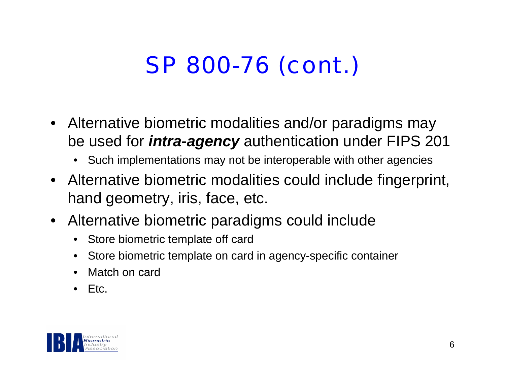# SP 800-76 (cont.)

- Alternative biometric modalities and/or paradigms may be used for *intra-agency* authentication under FIPS 201
	- Such implementations may not be interoperable with other agencies
- Alternative biometric modalities could include fingerprint, hand geometry, iris, face, etc.
- Alternative biometric paradigms could include
	- $\bullet$ Store biometric template off card
	- •Store biometric template on card in agency-specific container
	- •Match on card
	- •Etc.

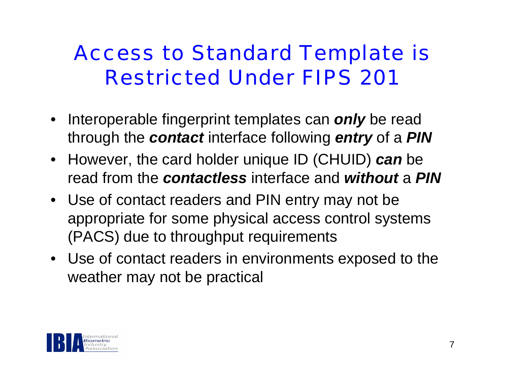### Access to Standard Template is Restricted Under FIPS 201

- Interoperable fingerprint templates can *only* be read through the *contact* interface following *entry* of a *PIN*
- However, the card holder unique ID (CHUID) *can* be read from the *contactless* interface and *without* a *PIN*
- Use of contact readers and PIN entry may not be appropriate for some physical access control systems (PACS) due to throughput requirements
- Use of contact readers in environments exposed to the weather may not be practical

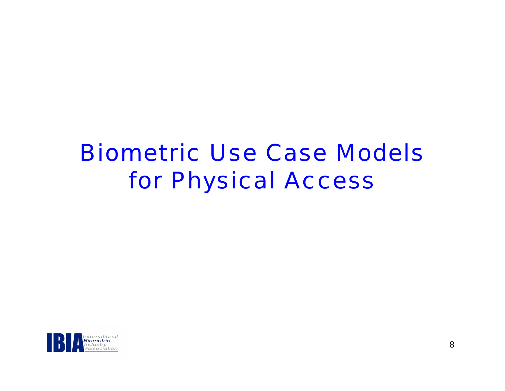### Biometric Use Case Modelsfor Physical Access

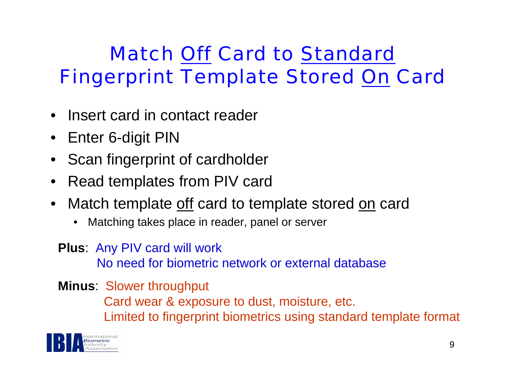#### Match Off Card to Standard Fingerprint Template Stored On Card

- •Insert card in contact reader
- Enter 6-digit PIN
- Scan fingerprint of cardholder
- •Read templates from PIV card
- •Match template off card to template stored on card
	- •Matching takes place in reader, panel or server
	- **Plus**: Any PIV card will work No need for biometric network or external database

**Minus**: Slower throughput Card wear & exposure to dust, moisture, etc. Limited to fingerprint biometrics using standard template format

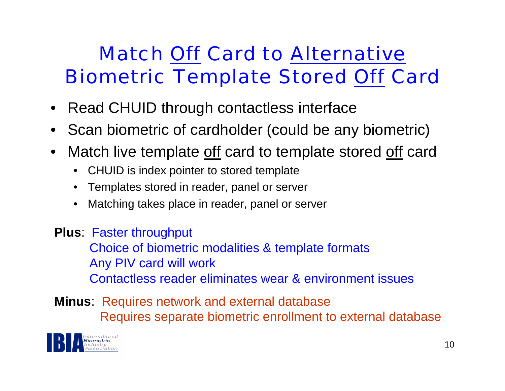#### Match Off Card to Alternative Biometric Template Stored Off Card

- Read CHUID through contactless interface
- Scan biometric of cardholder (could be any biometric)
- • Match live template off card to template stored off card
	- •CHUID is index pointer to stored template
	- •Templates stored in reader, panel or server
	- •Matching takes place in reader, panel or server
- **Plus**: Faster throughput Choice of biometric modalities & template formats Any PIV card will work Contactless reader eliminates wear & environment issues
- **Minus**: Requires network and external database Requires separate biometric enrollment to external database

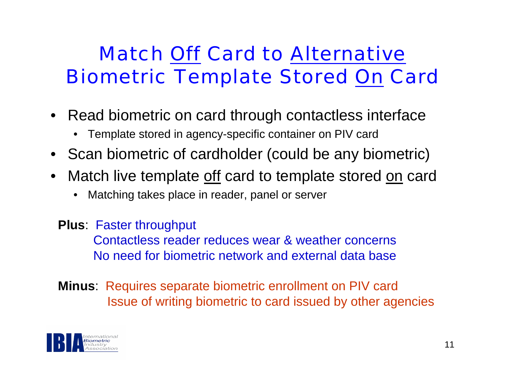#### Match Off Card to Alternative Biometric Template Stored On Card

- Read biometric on card through contactless interface
	- •Template stored in agency-specific container on PIV card
- Scan biometric of cardholder (could be any biometric)
- • Match live template off card to template stored on card
	- •Matching takes place in reader, panel or server
	- **Plus**: Faster throughput

Contactless reader reduces wear & weather concernsNo need for biometric network and external data base

**Minus**: Requires separate biometric enrollment on PIV card Issue of writing biometric to card issued by other agencies

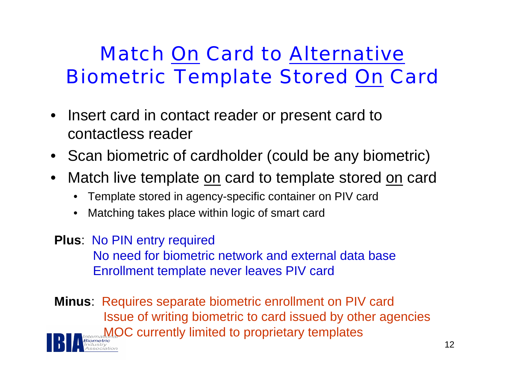#### Match On Card to Alternative Biometric Template Stored On Card

- Insert card in contact reader or present card to contactless reader
- Scan biometric of cardholder (could be any biometric)
- •Match live template on card to template stored on card
	- •Template stored in agency-specific container on PIV card
	- •Matching takes place within logic of smart card
- **Plus**: No PIN entry required No need for biometric network and external data baseEnrollment template never leaves PIV card
- **Minus**: Requires separate biometric enrollment on PIV card Issue of writing biometric to card issued by other agencies MOC currently limited to proprietary templates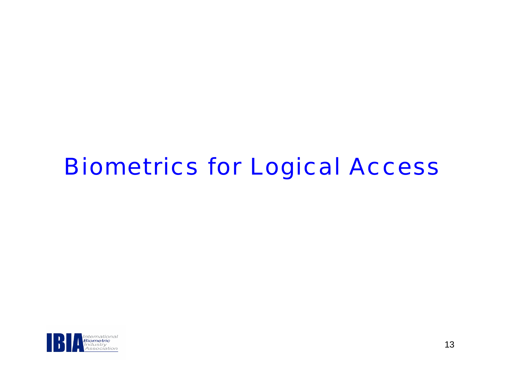### Biometrics for Logical Access

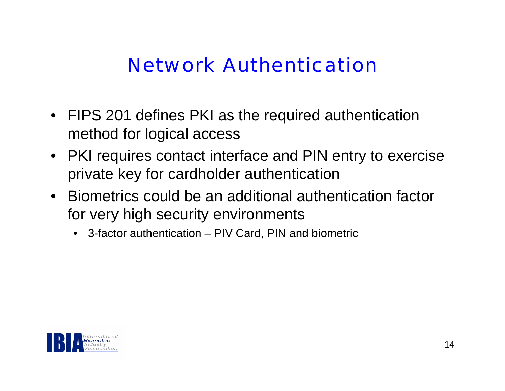#### Network Authentication

- FIPS 201 defines PKI as the required authentication method for logical access
- PKI requires contact interface and PIN entry to exercise private key for cardholder authentication
- Biometrics could be an additional authentication factor for very high security environments
	- 3-factor authentication PIV Card, PIN and biometric

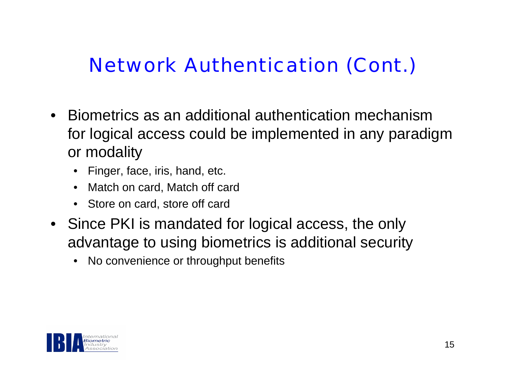#### Network Authentication (Cont.)

- Biometrics as an additional authentication mechanism for logical access could be implemented in any paradigm or modality
	- •Finger, face, iris, hand, etc.
	- $\bullet$ Match on card, Match off card
	- •Store on card, store off card
- Since PKI is mandated for logical access, the only advantage to using biometrics is additional security
	- $\bullet$ No convenience or throughput benefits

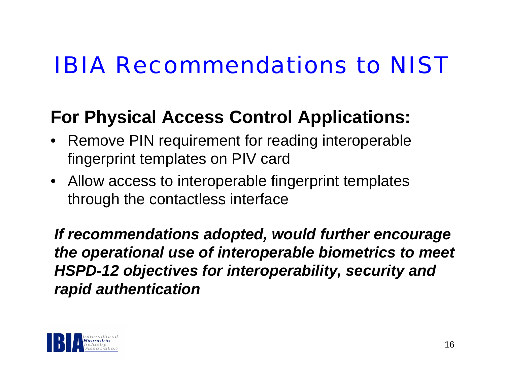## IBIA Recommendations to NIST

#### **For Physical Access Control Applications:**

- Remove PIN requirement for reading interoperable fingerprint templates on PIV card
- Allow access to interoperable fingerprint templates through the contactless interface

*If recommendations adopted, would further encourage the operational use of interoperable biometrics to meet HSPD-12 objectives for interoperability, security and rapid authentication*

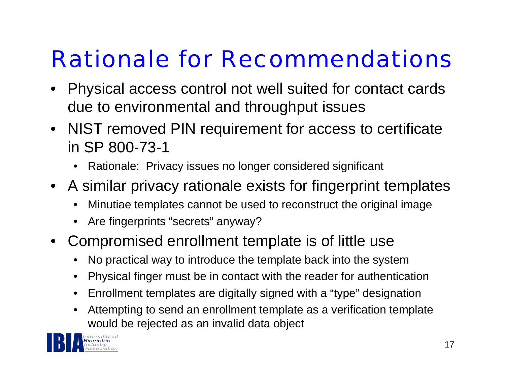# Rationale for Recommendations

- • Physical access control not well suited for contact cards due to environmental and throughput issues
- NIST removed PIN requirement for access to certificate in SP 800-73-1
	- •Rationale: Privacy issues no longer considered significant
- A similar privacy rationale exists for fingerprint templates
	- •Minutiae templates cannot be used to reconstruct the original image
	- •Are fingerprints "secrets" anyway?
- Compromised enrollment template is of little use
	- •No practical way to introduce the template back into the system
	- •Physical finger must be in contact with the reader for authentication
	- $\bullet$ Enrollment templates are digitally signed with a "type" designation
	- • Attempting to send an enrollment template as a verification template would be rejected as an invalid data object

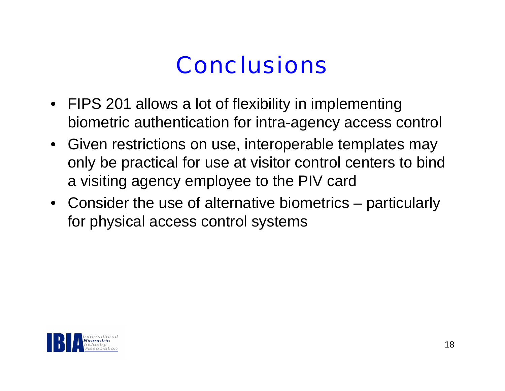### **Conclusions**

- FIPS 201 allows a lot of flexibility in implementing biometric authentication for intra-agency access control
- Given restrictions on use, interoperable templates may only be practical for use at visitor control centers to bind a visiting agency employee to the PIV card
- Consider the use of alternative biometrics particularly for physical access control systems